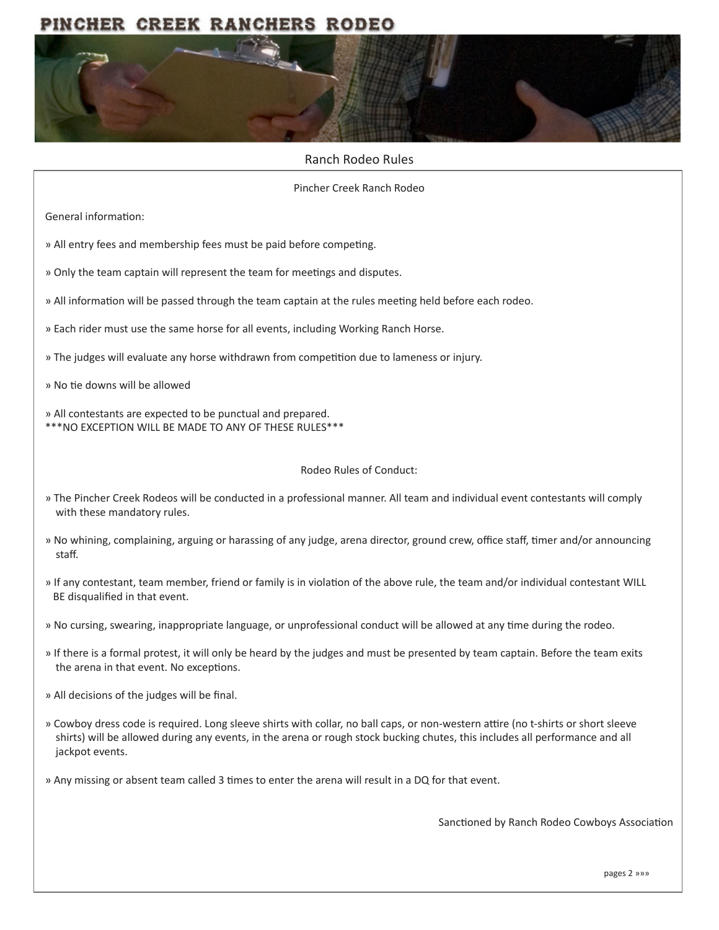# PINCHER CREEK RANCHERS RODEO



#### Ranch Rodeo Rules

Pincher Creek Ranch Rodeo

General information:

- » All entry fees and membership fees must be paid before competing.
- » Only the team captain will represent the team for meetings and disputes.
- » All information will be passed through the team captain at the rules meeting held before each rodeo.
- » Each rider must use the same horse for all events, including Working Ranch Horse.
- » The judges will evaluate any horse withdrawn from competition due to lameness or injury.
- » No tie downs will be allowed
- » All contestants are expected to be punctual and prepared. \*\*\*NO EXCEPTION WILL BE MADE TO ANY OF THESE RULES\*\*\*

#### Rodeo Rules of Conduct:

- » The Pincher Creek Rodeos will be conducted in a professional manner. All team and individual event contestants will comply with these mandatory rules.
- » No whining, complaining, arguing or harassing of any judge, arena director, ground crew, office staff, timer and/or announcing staff.
- » If any contestant, team member, friend or family is in violation of the above rule, the team and/or individual contestant WILL BE disqualified in that event.
- » No cursing, swearing, inappropriate language, or unprofessional conduct will be allowed at any time during the rodeo.
- » If there is a formal protest, it will only be heard by the judges and must be presented by team captain. Before the team exits the arena in that event. No exceptions.
- » All decisions of the judges will be final.
- » Cowboy dress code is required. Long sleeve shirts with collar, no ball caps, or non-western attire (no t-shirts or short sleeve shirts) will be allowed during any events, in the arena or rough stock bucking chutes, this includes all performance and all jackpot events.
- » Any missing or absent team called 3 times to enter the arena will result in a DQ for that event.

Sanctioned by Ranch Rodeo Cowboys Association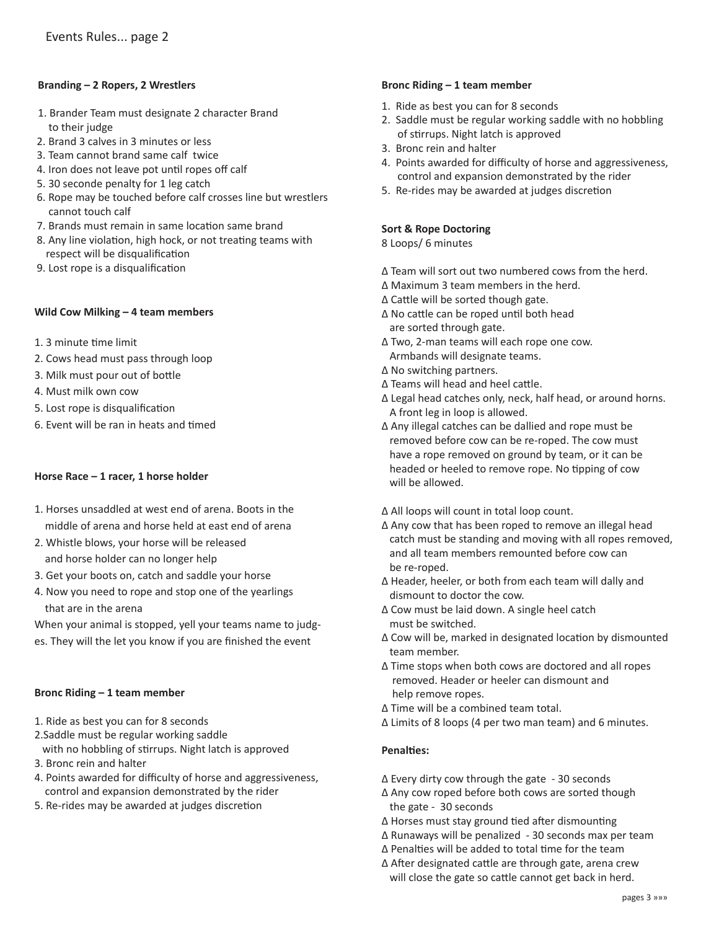# **Branding – 2 Ropers, 2 Wrestlers**

- 1. Brander Team must designate 2 character Brand to their judge
- 2. Brand 3 calves in 3 minutes or less
- 3. Team cannot brand same calf twice
- 4. Iron does not leave pot until ropes off calf
- 5. 30 seconde penalty for 1 leg catch
- 6. Rope may be touched before calf crosses line but wrestlers cannot touch calf
- 7. Brands must remain in same location same brand
- 8. Any line violation, high hock, or not treating teams with respect will be disqualification
- 9. Lost rope is a disqualification

#### **Wild Cow Milking – 4 team members**

- 1. 3 minute time limit
- 2. Cows head must pass through loop
- 3. Milk must pour out of bottle
- 4. Must milk own cow
- 5. Lost rope is disqualification
- 6. Event will be ran in heats and timed

#### **Horse Race – 1 racer, 1 horse holder**

- 1. Horses unsaddled at west end of arena. Boots in the middle of arena and horse held at east end of arena
- 2. Whistle blows, your horse will be released and horse holder can no longer help
- 3. Get your boots on, catch and saddle your horse
- 4. Now you need to rope and stop one of the yearlings that are in the arena

When your animal is stopped, yell your teams name to judges. They will the let you know if you are finished the event

#### **Bronc Riding – 1 team member**

- 1. Ride as best you can for 8 seconds
- 2.Saddle must be regular working saddle with no hobbling of stirrups. Night latch is approved
- 3. Bronc rein and halter
- 4. Points awarded for difficulty of horse and aggressiveness, control and expansion demonstrated by the rider
- 5. Re-rides may be awarded at judges discretion

#### **Bronc Riding – 1 team member**

- 1. Ride as best you can for 8 seconds
- 2. Saddle must be regular working saddle with no hobbling of stirrups. Night latch is approved
- 3. Bronc rein and halter
- 4. Points awarded for difficulty of horse and aggressiveness, control and expansion demonstrated by the rider
- 5. Re-rides may be awarded at judges discretion

# **Sort & Rope Doctoring**

8 Loops/ 6 minutes

- ∆ Team will sort out two numbered cows from the herd.
- ∆ Maximum 3 team members in the herd.
- ∆ Cattle will be sorted though gate.
- ∆ No cattle can be roped until both head are sorted through gate.
- ∆ Two, 2-man teams will each rope one cow. Armbands will designate teams.
- ∆ No switching partners.
- ∆ Teams will head and heel cattle.
- ∆ Legal head catches only, neck, half head, or around horns. A front leg in loop is allowed.
- ∆ Any illegal catches can be dallied and rope must be removed before cow can be re-roped. The cow must have a rope removed on ground by team, or it can be headed or heeled to remove rope. No tipping of cow will be allowed.
- ∆ All loops will count in total loop count.
- ∆ Any cow that has been roped to remove an illegal head catch must be standing and moving with all ropes removed, and all team members remounted before cow can be re-roped.
- ∆ Header, heeler, or both from each team will dally and dismount to doctor the cow.
- ∆ Cow must be laid down. A single heel catch must be switched.
- ∆ Cow will be, marked in designated location by dismounted team member.
- ∆ Time stops when both cows are doctored and all ropes removed. Header or heeler can dismount and help remove ropes.
- ∆ Time will be a combined team total.
- ∆ Limits of 8 loops (4 per two man team) and 6 minutes.

#### **Penalties:**

- ∆ Every dirty cow through the gate 30 seconds
- ∆ Any cow roped before both cows are sorted though the gate - 30 seconds
- ∆ Horses must stay ground tied after dismounting
- ∆ Runaways will be penalized 30 seconds max per team
- ∆ Penalties will be added to total time for the team
- ∆ After designated cattle are through gate, arena crew will close the gate so cattle cannot get back in herd.